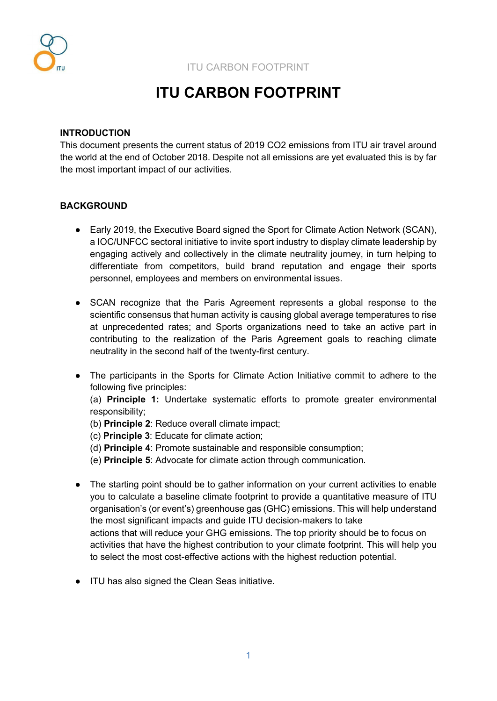

# **ITU CARBON FOOTPRINT**

#### **INTRODUCTION**

This document presents the current status of 2019 CO2 emissions from ITU air travel around the world at the end of October 2018. Despite not all emissions are yet evaluated this is by far the most important impact of our activities.

# **BACKGROUND**

- Early 2019, the Executive Board signed the Sport for Climate Action Network (SCAN), a IOC/UNFCC sectoral initiative to invite sport industry to display climate leadership by engaging actively and collectively in the climate neutrality journey, in turn helping to differentiate from competitors, build brand reputation and engage their sports personnel, employees and members on environmental issues.
- SCAN recognize that the Paris Agreement represents a global response to the scientific consensus that human activity is causing global average temperatures to rise at unprecedented rates; and Sports organizations need to take an active part in contributing to the realization of the Paris Agreement goals to reaching climate neutrality in the second half of the twenty-first century.
- The participants in the Sports for Climate Action Initiative commit to adhere to the following five principles:

(a) **Principle 1:** Undertake systematic efforts to promote greater environmental responsibility;

- (b) **Principle 2**: Reduce overall climate impact;
- (c) **Principle 3**: Educate for climate action;
- (d) **Principle 4**: Promote sustainable and responsible consumption;
- (e) **Principle 5**: Advocate for climate action through communication.
- The starting point should be to gather information on your current activities to enable you to calculate a baseline climate footprint to provide a quantitative measure of ITU organisation's (or event's) greenhouse gas (GHC) emissions. This will help understand the most significant impacts and guide ITU decision-makers to take actions that will reduce your GHG emissions. The top priority should be to focus on activities that have the highest contribution to your climate footprint. This will help you to select the most cost-effective actions with the highest reduction potential.
- ITU has also signed the Clean Seas initiative.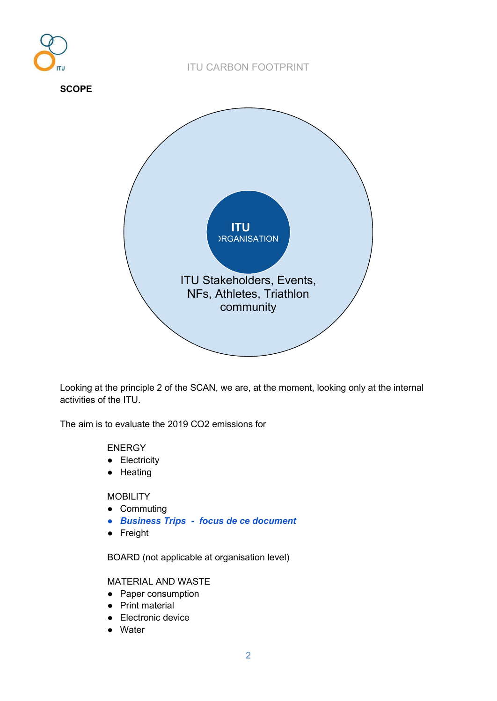

Looking at the principle 2 of the SCAN, we are, at the moment, looking only at the internal activities of the ITU.

The aim is to evaluate the 2019 CO2 emissions for

#### ENERGY

- Electricity
- Heating

# **MOBILITY**

- Commuting
- *Business Trips - focus de ce document*
- Freight

BOARD (not applicable at organisation level)

# MATERIAL AND WASTE

- Paper consumption
- Print material
- Electronic device
- Water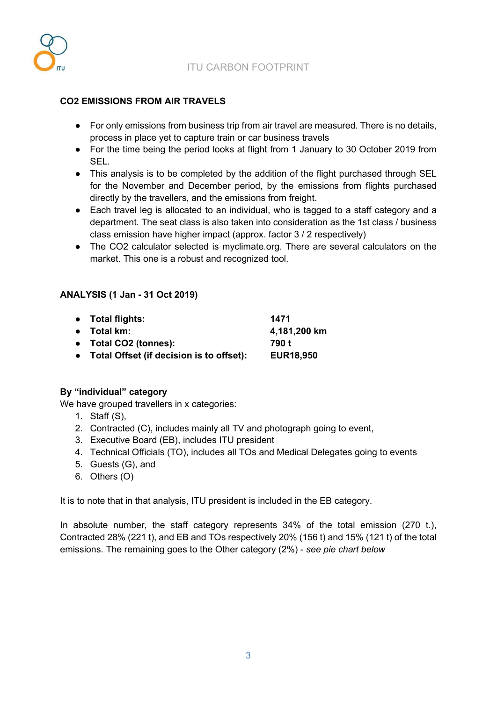

# **CO2 EMISSIONS FROM AIR TRAVELS**

- For only emissions from business trip from air travel are measured. There is no details, process in place yet to capture train or car business travels
- For the time being the period looks at flight from 1 January to 30 October 2019 from SEL.
- This analysis is to be completed by the addition of the flight purchased through SEL for the November and December period, by the emissions from flights purchased directly by the travellers, and the emissions from freight.
- Each travel leg is allocated to an individual, who is tagged to a staff category and a department. The seat class is also taken into consideration as the 1st class / business class emission have higher impact (approx. factor 3 / 2 respectively)
- The CO2 calculator selected is myclimate.org. There are several calculators on the market. This one is a robust and recognized tool.

# **ANALYSIS (1 Jan - 31 Oct 2019)**

| • Total flights:                           | 1471             |
|--------------------------------------------|------------------|
| $\bullet$ Total km:                        | 4,181,200 km     |
| • Total CO2 (tonnes):                      | 790 t            |
| • Total Offset (if decision is to offset): | <b>EUR18,950</b> |

# **By "individual" category**

We have grouped travellers in x categories:

- 1. Staff (S),
- 2. Contracted (C), includes mainly all TV and photograph going to event,
- 3. Executive Board (EB), includes ITU president
- 4. Technical Officials (TO), includes all TOs and Medical Delegates going to events
- 5. Guests (G), and
- 6. Others (O)

It is to note that in that analysis, ITU president is included in the EB category.

In absolute number, the staff category represents 34% of the total emission (270 t.), Contracted 28% (221 t), and EB and TOs respectively 20% (156 t) and 15% (121 t) of the total emissions. The remaining goes to the Other category (2%) - *see pie chart below*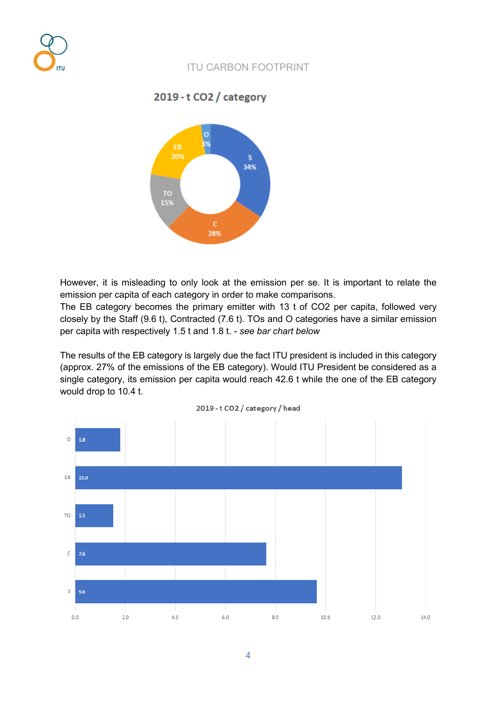

2019 - t CO2 / category



However, it is misleading to only look at the emission per se. It is important to relate the emission per capita of each category in order to make comparisons.

The EB category becomes the primary emitter with 13 t of CO2 per capita, followed very closely by the Staff (9.6 t), Contracted (7.6 t). TOs and O categories have a similar emission per capita with respectively 1.5 t and 1.8 t. - *see bar chart below*

The results of the EB category is largely due the fact ITU president is included in this category (approx. 27% of the emissions of the EB category). Would ITU President be considered as a single category, its emission per capita would reach 42.6 t while the one of the EB category would drop to 10.4 t.



2019 - t CO2 / category / head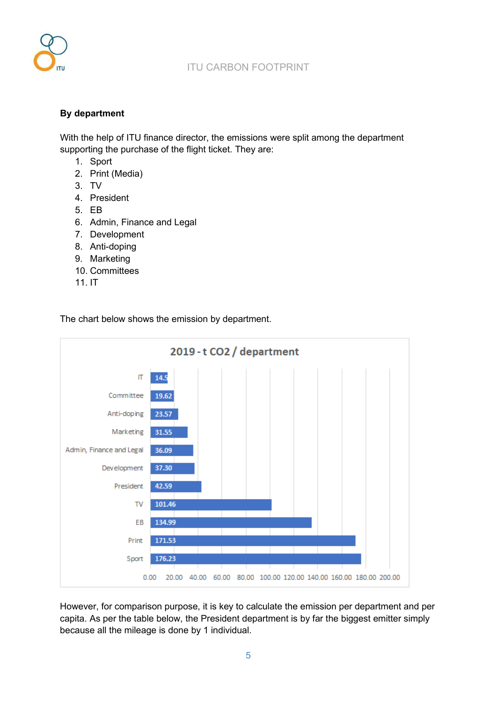

# **By department**

With the help of ITU finance director, the emissions were split among the department supporting the purchase of the flight ticket. They are:

- 1. Sport
- 2. Print (Media)
- 3. TV
- 4. President
- 5. EB
- 6. Admin, Finance and Legal
- 7. Development
- 8. Anti-doping
- 9. Marketing
- 10. Committees
- 11. IT

The chart below shows the emission by department.



However, for comparison purpose, it is key to calculate the emission per department and per capita. As per the table below, the President department is by far the biggest emitter simply because all the mileage is done by 1 individual.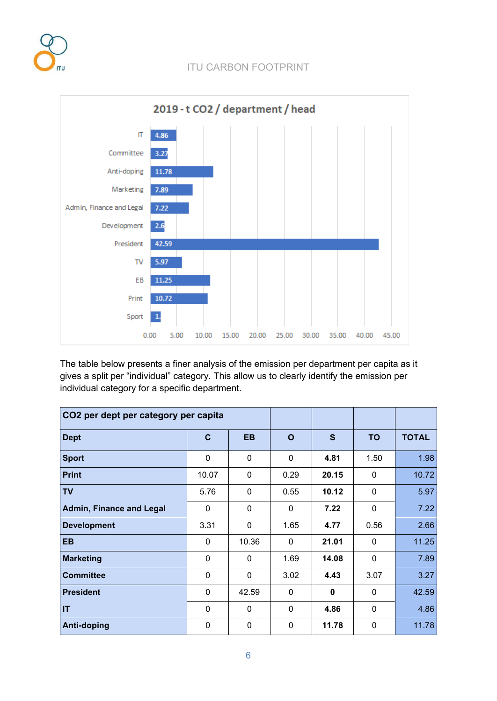



The table below presents a finer analysis of the emission per department per capita as it gives a split per "individual" category. This allow us to clearly identify the emission per individual category for a specific department.

| CO2 per dept per category per capita |              |              |              |             |              |              |
|--------------------------------------|--------------|--------------|--------------|-------------|--------------|--------------|
| <b>Dept</b>                          | $\mathbf{C}$ | <b>EB</b>    | O            | S           | <b>TO</b>    | <b>TOTAL</b> |
| <b>Sport</b>                         | $\mathbf 0$  | $\mathbf 0$  | 0            | 4.81        | 1.50         | 1.98         |
| <b>Print</b>                         | 10.07        | $\mathbf 0$  | 0.29         | 20.15       | $\mathbf{0}$ | 10.72        |
| <b>TV</b>                            | 5.76         | $\mathbf{0}$ | 0.55         | 10.12       | 0            | 5.97         |
| <b>Admin, Finance and Legal</b>      | $\mathbf{0}$ | $\mathbf{0}$ | 0            | 7.22        | 0            | 7.22         |
| <b>Development</b>                   | 3.31         | $\mathbf 0$  | 1.65         | 4.77        | 0.56         | 2.66         |
| <b>EB</b>                            | $\mathbf{0}$ | 10.36        | $\mathbf{0}$ | 21.01       | $\mathbf{0}$ | 11.25        |
| <b>Marketing</b>                     | $\mathbf{0}$ | $\mathbf{0}$ | 1.69         | 14.08       | $\mathbf 0$  | 7.89         |
| <b>Committee</b>                     | $\mathbf 0$  | $\mathbf 0$  | 3.02         | 4.43        | 3.07         | 3.27         |
| <b>President</b>                     | $\mathbf{0}$ | 42.59        | $\mathbf{0}$ | $\mathbf 0$ | $\mathbf{0}$ | 42.59        |
| IT                                   | $\mathbf 0$  | $\mathbf 0$  | $\mathbf{0}$ | 4.86        | $\mathbf 0$  | 4.86         |
| Anti-doping                          | $\mathbf 0$  | $\mathbf 0$  | $\mathbf{0}$ | 11.78       | $\mathbf 0$  | 11.78        |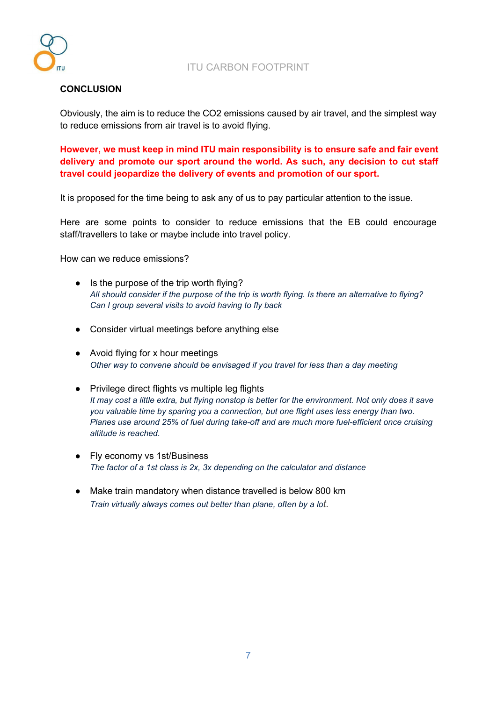

### **CONCLUSION**

Obviously, the aim is to reduce the CO2 emissions caused by air travel, and the simplest way to reduce emissions from air travel is to avoid flying.

**However, we must keep in mind ITU main responsibility is to ensure safe and fair event delivery and promote our sport around the world. As such, any decision to cut staff travel could jeopardize the delivery of events and promotion of our sport.** 

It is proposed for the time being to ask any of us to pay particular attention to the issue.

Here are some points to consider to reduce emissions that the EB could encourage staff/travellers to take or maybe include into travel policy.

How can we reduce emissions?

- Is the purpose of the trip worth flying? *All should consider if the purpose of the trip is worth flying. Is there an alternative to flying? Can I group several visits to avoid having to fly back*
- Consider virtual meetings before anything else
- Avoid flying for x hour meetings *Other way to convene should be envisaged if you travel for less than a day meeting*
- Privilege direct flights vs multiple leg flights *It may cost a little extra, but flying nonstop is better for the environment. Not only does it save you valuable time by sparing you a connection, but one flight uses less energy than two. Planes use around 25% of fuel during take-off and are much more fuel-efficient once cruising altitude is reached.*
- Fly economy vs 1st/Business *The factor of a 1st class is 2x, 3x depending on the calculator and distance*
- Make train mandatory when distance travelled is below 800 km *Train virtually always comes out better than plane, often by a lot.*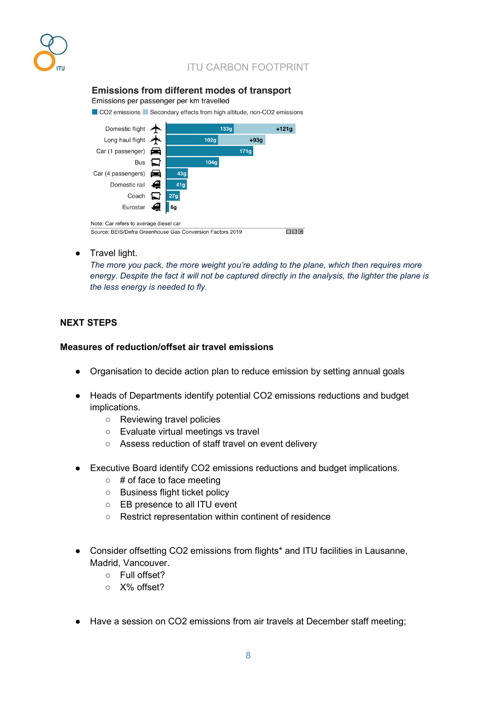

# **Emissions from different modes of transport**

Emissions per passenger per km travelled

CO2 emissions Secondary effects from high altitude, non-CO2 emissions



#### ● Travel light.

*The more you pack, the more weight you're adding to the plane, which then requires more energy. Despite the fact it will not be captured directly in the analysis, the lighter the plane is the less energy is needed to fly.*

### **NEXT STEPS**

#### **Measures of reduction/offset air travel emissions**

- Organisation to decide action plan to reduce emission by setting annual goals
- Heads of Departments identify potential CO2 emissions reductions and budget implications.
	- Reviewing travel policies
	- Evaluate virtual meetings vs travel
	- Assess reduction of staff travel on event delivery
- Executive Board identify CO2 emissions reductions and budget implications.
	- # of face to face meeting
	- Business flight ticket policy
	- EB presence to all ITU event
	- Restrict representation within continent of residence
- Consider offsetting CO2 emissions from flights\* and ITU facilities in Lausanne, Madrid, Vancouver.
	- Full offset?
	- X% offset?
- Have a session on CO2 emissions from air travels at December staff meeting;